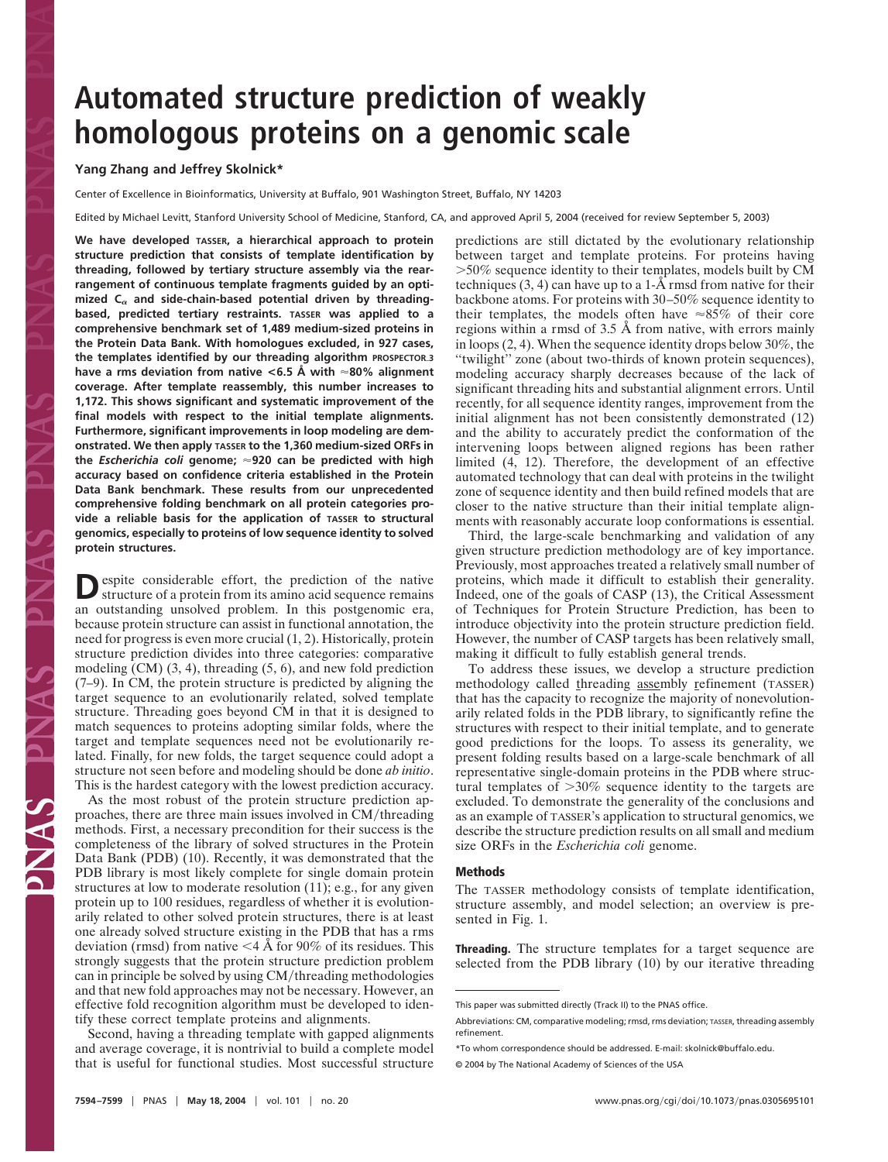# **Automated structure prediction of weakly homologous proteins on a genomic scale**

#### **Yang Zhang and Jeffrey Skolnick\***

Center of Excellence in Bioinformatics, University at Buffalo, 901 Washington Street, Buffalo, NY 14203

Edited by Michael Levitt, Stanford University School of Medicine, Stanford, CA, and approved April 5, 2004 (received for review September 5, 2003)

**We have developed TASSER, a hierarchical approach to protein structure prediction that consists of template identification by threading, followed by tertiary structure assembly via the rearrangement of continuous template fragments guided by an opti**mized C<sub>a</sub> and side-chain-based potential driven by threading**based, predicted tertiary restraints. TASSER was applied to a comprehensive benchmark set of 1,489 medium-sized proteins in the Protein Data Bank. With homologues excluded, in 927 cases, the templates identified by our threading algorithm PROSPECTOR3 have a rms deviation from native <6.5 Å with 80% alignment coverage. After template reassembly, this number increases to 1,172. This shows significant and systematic improvement of the final models with respect to the initial template alignments. Furthermore, significant improvements in loop modeling are demonstrated. We then apply TASSER to the 1,360 medium-sized ORFs in the** *Escherichia coli* **genome; 920 can be predicted with high accuracy based on confidence criteria established in the Protein Data Bank benchmark. These results from our unprecedented comprehensive folding benchmark on all protein categories provide a reliable basis for the application of TASSER to structural genomics, especially to proteins of low sequence identity to solved protein structures.**

**D**espite considerable effort, the prediction of the native structure of a protein from its amino acid sequence remains an outstanding unsolved problem. In this postgenomic era, because protein structure can assist in functional annotation, the need for progress is even more crucial (1, 2). Historically, protein structure prediction divides into three categories: comparative modeling (CM) (3, 4), threading (5, 6), and new fold prediction (7–9). In CM, the protein structure is predicted by aligning the target sequence to an evolutionarily related, solved template structure. Threading goes beyond CM in that it is designed to match sequences to proteins adopting similar folds, where the target and template sequences need not be evolutionarily related. Finally, for new folds, the target sequence could adopt a structure not seen before and modeling should be done *ab initio*. This is the hardest category with the lowest prediction accuracy.

As the most robust of the protein structure prediction approaches, there are three main issues involved in CM/threading methods. First, a necessary precondition for their success is the completeness of the library of solved structures in the Protein Data Bank (PDB) (10). Recently, it was demonstrated that the PDB library is most likely complete for single domain protein structures at low to moderate resolution (11); e.g., for any given protein up to 100 residues, regardless of whether it is evolutionarily related to other solved protein structures, there is at least one already solved structure existing in the PDB that has a rms deviation (rmsd) from native  $\leq$  4 Å for 90% of its residues. This strongly suggests that the protein structure prediction problem can in principle be solved by using CM/threading methodologies and that new fold approaches may not be necessary. However, an effective fold recognition algorithm must be developed to identify these correct template proteins and alignments.

Second, having a threading template with gapped alignments and average coverage, it is nontrivial to build a complete model that is useful for functional studies. Most successful structure predictions are still dictated by the evolutionary relationship between target and template proteins. For proteins having 50% sequence identity to their templates, models built by CM techniques  $(3, 4)$  can have up to a 1- $\AA$  rmsd from native for their backbone atoms. For proteins with 30–50% sequence identity to their templates, the models often have  $\approx 85\%$  of their core regions within a rmsd of 3.5 Å from native, with errors mainly in loops (2, 4). When the sequence identity drops below 30%, the ''twilight'' zone (about two-thirds of known protein sequences), modeling accuracy sharply decreases because of the lack of significant threading hits and substantial alignment errors. Until recently, for all sequence identity ranges, improvement from the initial alignment has not been consistently demonstrated (12) and the ability to accurately predict the conformation of the intervening loops between aligned regions has been rather limited (4, 12). Therefore, the development of an effective automated technology that can deal with proteins in the twilight zone of sequence identity and then build refined models that are closer to the native structure than their initial template alignments with reasonably accurate loop conformations is essential.

Third, the large-scale benchmarking and validation of any given structure prediction methodology are of key importance. Previously, most approaches treated a relatively small number of proteins, which made it difficult to establish their generality. Indeed, one of the goals of CASP (13), the Critical Assessment of Techniques for Protein Structure Prediction, has been to introduce objectivity into the protein structure prediction field. However, the number of CASP targets has been relatively small, making it difficult to fully establish general trends.

To address these issues, we develop a structure prediction methodology called threading assembly refinement (TASSER) that has the capacity to recognize the majority of nonevolutionarily related folds in the PDB library, to significantly refine the structures with respect to their initial template, and to generate good predictions for the loops. To assess its generality, we present folding results based on a large-scale benchmark of all representative single-domain proteins in the PDB where structural templates of  $>30\%$  sequence identity to the targets are excluded. To demonstrate the generality of the conclusions and as an example of TASSER's application to structural genomics, we describe the structure prediction results on all small and medium size ORFs in the *Escherichia coli* genome.

## **Methods**

The TASSER methodology consists of template identification, structure assembly, and model selection; an overview is presented in Fig. 1.

**Threading.** The structure templates for a target sequence are selected from the PDB library (10) by our iterative threading

This paper was submitted directly (Track II) to the PNAS office.

Abbreviations: CM, comparative modeling; rmsd, rms deviation; TASSER, threading assembly refinement.

<sup>\*</sup>To whom correspondence should be addressed. E-mail: skolnick@buffalo.edu.

<sup>© 2004</sup> by The National Academy of Sciences of the USA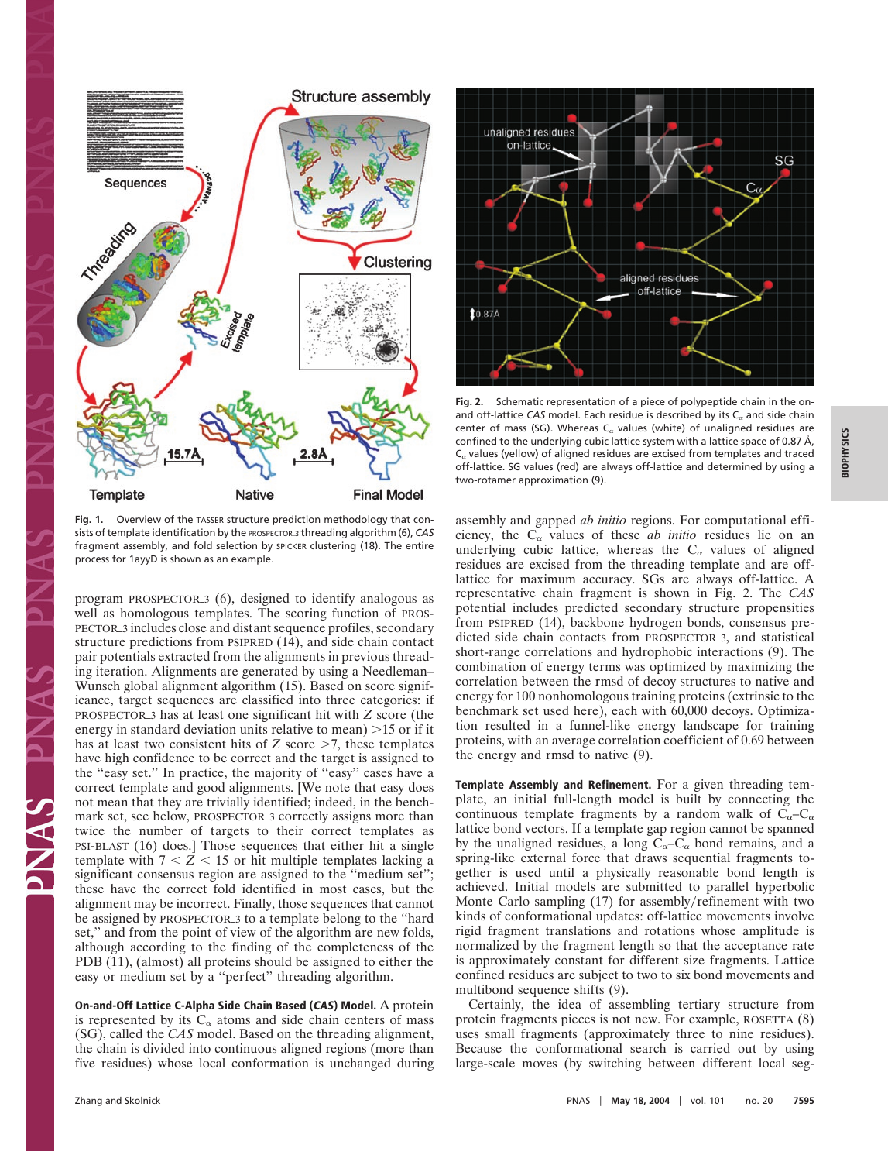

Fig. 1. Overview of the TASSER structure prediction methodology that consists of template identification by the PROSPECTOR3 threading algorithm (6), *CAS* fragment assembly, and fold selection by SPICKER clustering (18). The entire process for 1ayyD is shown as an example.

program PROSPECTOR3 (6), designed to identify analogous as well as homologous templates. The scoring function of PROS-PECTOR3 includes close and distant sequence profiles, secondary structure predictions from PSIPRED (14), and side chain contact pair potentials extracted from the alignments in previous threading iteration. Alignments are generated by using a Needleman– Wunsch global alignment algorithm (15). Based on score significance, target sequences are classified into three categories: if PROSPECTOR3 has at least one significant hit with *Z* score (the energy in standard deviation units relative to mean)  $>15$  or if it has at least two consistent hits of  $Z$  score  $\geq$ 7, these templates have high confidence to be correct and the target is assigned to the ''easy set.'' In practice, the majority of ''easy'' cases have a correct template and good alignments. [We note that easy does not mean that they are trivially identified; indeed, in the benchmark set, see below, PROSPECTOR<sub>3</sub> correctly assigns more than twice the number of targets to their correct templates as PSI-BLAST (16) does.] Those sequences that either hit a single template with  $7 < Z < 15$  or hit multiple templates lacking a significant consensus region are assigned to the "medium set"; these have the correct fold identified in most cases, but the alignment may be incorrect. Finally, those sequences that cannot be assigned by PROSPECTOR<sub>3</sub> to a template belong to the "hard" set,'' and from the point of view of the algorithm are new folds, although according to the finding of the completeness of the PDB (11), (almost) all proteins should be assigned to either the easy or medium set by a ''perfect'' threading algorithm.

**On-and-Off Lattice C-Alpha Side Chain Based (CAS) Model.** A protein is represented by its  $C_{\alpha}$  atoms and side chain centers of mass (SG), called the *CAS* model. Based on the threading alignment, the chain is divided into continuous aligned regions (more than five residues) whose local conformation is unchanged during



**Fig. 2.** Schematic representation of a piece of polypeptide chain in the onand off-lattice CAS model. Each residue is described by its  $C<sub>α</sub>$  and side chain center of mass (SG). Whereas  $C_{\alpha}$  values (white) of unaligned residues are confined to the underlying cubic lattice system with a lattice space of 0.87 Å,  $C_{\alpha}$  values (yellow) of aligned residues are excised from templates and traced off-lattice. SG values (red) are always off-lattice and determined by using a two-rotamer approximation (9).

assembly and gapped *ab initio* regions. For computational efficiency, the  $C_{\alpha}$  values of these *ab initio* residues lie on an underlying cubic lattice, whereas the  $C_{\alpha}$  values of aligned residues are excised from the threading template and are offlattice for maximum accuracy. SGs are always off-lattice. A representative chain fragment is shown in Fig. 2. The *CAS* potential includes predicted secondary structure propensities from PSIPRED (14), backbone hydrogen bonds, consensus predicted side chain contacts from PROSPECTOR<sub>3</sub>, and statistical short-range correlations and hydrophobic interactions (9). The combination of energy terms was optimized by maximizing the correlation between the rmsd of decoy structures to native and energy for 100 nonhomologous training proteins (extrinsic to the benchmark set used here), each with 60,000 decoys. Optimization resulted in a funnel-like energy landscape for training proteins, with an average correlation coefficient of 0.69 between the energy and rmsd to native (9).

**Template Assembly and Refinement.** For a given threading template, an initial full-length model is built by connecting the continuous template fragments by a random walk of  $C_{\alpha}-C_{\alpha}$ lattice bond vectors. If a template gap region cannot be spanned by the unaligned residues, a long  $C_{\alpha}-C_{\alpha}$  bond remains, and a spring-like external force that draws sequential fragments together is used until a physically reasonable bond length is achieved. Initial models are submitted to parallel hyperbolic Monte Carlo sampling  $(17)$  for assembly/refinement with two kinds of conformational updates: off-lattice movements involve rigid fragment translations and rotations whose amplitude is normalized by the fragment length so that the acceptance rate is approximately constant for different size fragments. Lattice confined residues are subject to two to six bond movements and multibond sequence shifts (9).

Certainly, the idea of assembling tertiary structure from protein fragments pieces is not new. For example, ROSETTA (8) uses small fragments (approximately three to nine residues). Because the conformational search is carried out by using large-scale moves (by switching between different local seg-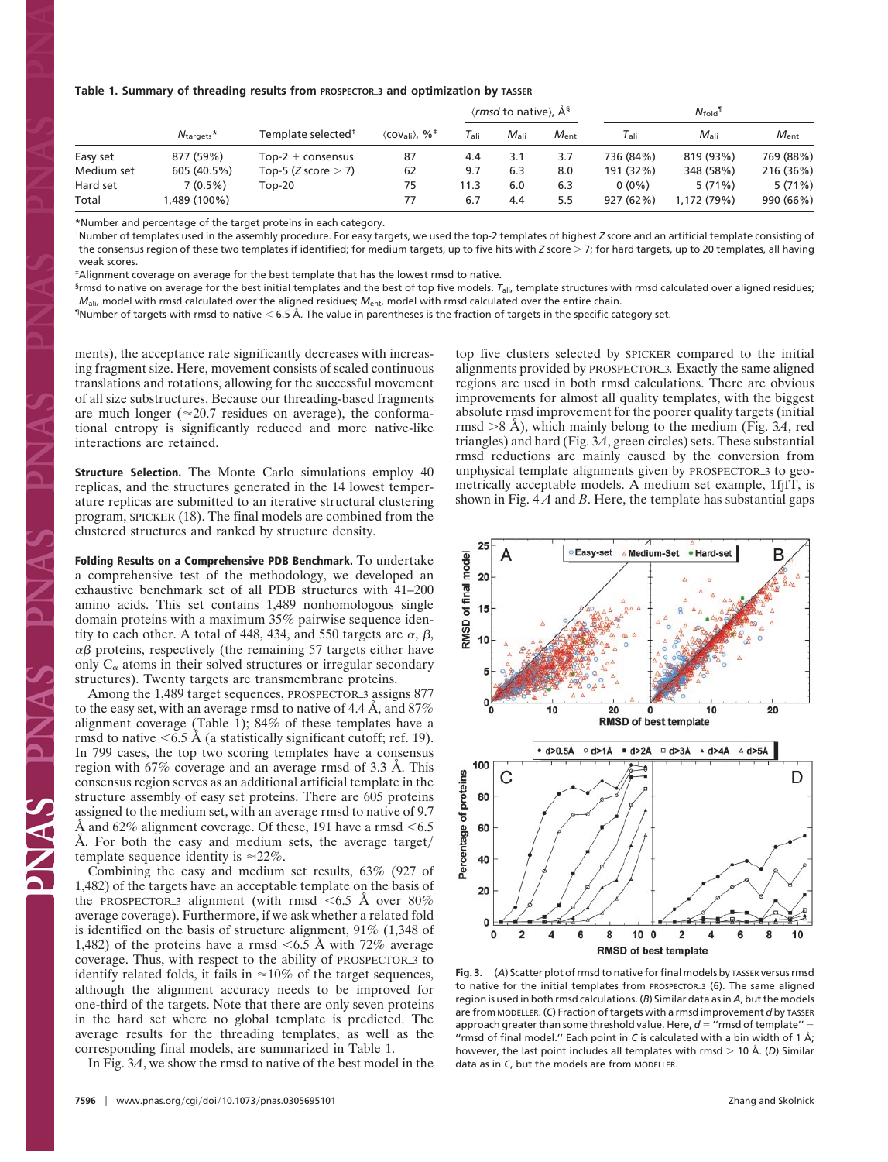#### **Table 1. Summary of threading results from PROSPECTOR3 and optimization by TASSER**

|            | $N_{\text{targets}}$ * | Template selected <sup>†</sup> | $\langle$ cov <sub>ali</sub> $\rangle$ , % <sup>‡</sup> | $\langle rmsd$ to native), $\hat{A}^s$ |               |               | $N_{\rm fold}$ |               |               |
|------------|------------------------|--------------------------------|---------------------------------------------------------|----------------------------------------|---------------|---------------|----------------|---------------|---------------|
|            |                        |                                |                                                         | $\tau_{\scriptscriptstyle\rm{ali}}$    | $M_{\rm ali}$ | $M_{\rm ent}$ | l ali          | $M_{\rm ali}$ | $M_{\rm ent}$ |
| Easy set   | 877 (59%)              | $Top-2 + consensus$            | 87                                                      | 4.4                                    | 3.1           | 3.7           | 736 (84%)      | 819 (93%)     | 769 (88%)     |
| Medium set | 605 (40.5%)            | Top-5 (Z score $>$ 7)          | 62                                                      | 9.7                                    | 6.3           | 8.0           | 191 (32%)      | 348 (58%)     | 216 (36%)     |
| Hard set   | $7(0.5\%)$             | Top-20                         | 75                                                      | 11.3                                   | 6.0           | 6.3           | $0(0\%)$       | 5(71%)        | 5(71%)        |
| Total      | ,489 (100%)            |                                | 77                                                      | 6.7                                    | 4.4           | 5.5           | 927 (62%)      | 1.172(79%)    | 990 (66%)     |

\*Number and percentage of the target proteins in each category.

†Number of templates used in the assembly procedure. For easy targets, we used the top-2 templates of highest *Z* score and an artificial template consisting of the consensus region of these two templates if identified; for medium targets, up to five hits with *Z* score > 7; for hard targets, up to 20 templates, all having weak scores.

‡Alignment coverage on average for the best template that has the lowest rmsd to native.

§rmsd to native on average for the best initial templates and the best of top five models. *T*ali, template structures with rmsd calculated over aligned residues; *M*<sub>ali</sub>, model with rmsd calculated over the aligned residues; *M*<sub>ent</sub>, model with rmsd calculated over the entire chain.

 $^\textsf{\tiny{\rm{I}}}$ Number of targets with rmsd to native  $<$  6.5 Å. The value in parentheses is the fraction of targets in the specific category set.

ments), the acceptance rate significantly decreases with increasing fragment size. Here, movement consists of scaled continuous translations and rotations, allowing for the successful movement of all size substructures. Because our threading-based fragments are much longer ( $\approx$ 20.7 residues on average), the conformational entropy is significantly reduced and more native-like interactions are retained.

**Structure Selection.** The Monte Carlo simulations employ 40 replicas, and the structures generated in the 14 lowest temperature replicas are submitted to an iterative structural clustering program, SPICKER (18). The final models are combined from the clustered structures and ranked by structure density.

**Folding Results on a Comprehensive PDB Benchmark.** To undertake a comprehensive test of the methodology, we developed an exhaustive benchmark set of all PDB structures with 41–200 amino acids. This set contains 1,489 nonhomologous single domain proteins with a maximum 35% pairwise sequence identity to each other. A total of 448, 434, and 550 targets are  $\alpha$ ,  $\beta$ ,  $\alpha\beta$  proteins, respectively (the remaining 57 targets either have only  $C_{\alpha}$  atoms in their solved structures or irregular secondary structures). Twenty targets are transmembrane proteins.

Among the 1,489 target sequences, PROSPECTOR<sub>3</sub> assigns 877 to the easy set, with an average rmsd to native of 4.4 Å, and 87% alignment coverage (Table 1); 84% of these templates have a rmsd to native  $\leq 6.5$  Å (a statistically significant cutoff; ref. 19). In 799 cases, the top two scoring templates have a consensus region with 67% coverage and an average rmsd of 3.3 Å. This consensus region serves as an additional artificial template in the structure assembly of easy set proteins. There are 605 proteins assigned to the medium set, with an average rmsd to native of 9.7 Å and 62% alignment coverage. Of these, 191 have a rmsd  $\leq 6.5$ Å. For both the easy and medium sets, the average target template sequence identity is  $\approx$  22%.

Combining the easy and medium set results, 63% (927 of 1,482) of the targets have an acceptable template on the basis of the PROSPECTOR 3 alignment (with rmsd  $\leq 6.5$  Å over 80% average coverage). Furthermore, if we ask whether a related fold is identified on the basis of structure alignment, 91% (1,348 of 1,482) of the proteins have a rmsd  $\leq 6.5$  Å with 72% average coverage. Thus, with respect to the ability of PROSPECTOR3 to identify related folds, it fails in  $\approx 10\%$  of the target sequences, although the alignment accuracy needs to be improved for one-third of the targets. Note that there are only seven proteins in the hard set where no global template is predicted. The average results for the threading templates, as well as the corresponding final models, are summarized in Table 1.

In Fig. 3*A*, we show the rmsd to native of the best model in the

top five clusters selected by SPICKER compared to the initial alignments provided by PROSPECTOR3*.* Exactly the same aligned regions are used in both rmsd calculations. There are obvious improvements for almost all quality templates, with the biggest absolute rmsd improvement for the poorer quality targets (initial rmsd  $> 8$  Å), which mainly belong to the medium (Fig.  $3A$ , red triangles) and hard (Fig. 3*A*, green circles) sets. These substantial rmsd reductions are mainly caused by the conversion from unphysical template alignments given by PROSPECTOR<sub>3</sub> to geometrically acceptable models. A medium set example, 1fjfT, is shown in Fig. 4 *A* and *B*. Here, the template has substantial gaps



**Fig. 3.** (*A*) Scatter plot of rmsd to native forfinal models by TASSER versus rmsd to native for the initial templates from PROSPECTOR\_3 (6). The same aligned region is used in both rmsd calculations. (*B*) Similar data as in *A*, but the models are from MODELLER. (*C*) Fraction of targets with a rmsd improvement *d* by TASSER approach greater than some threshold value. Here,  $d =$  "rmsd of template" -''rmsd of final model.'' Each point in *C* is calculated with a bin width of 1 Å; however, the last point includes all templates with rmsd 10 Å. (*D*) Similar data as in *C*, but the models are from MODELLER.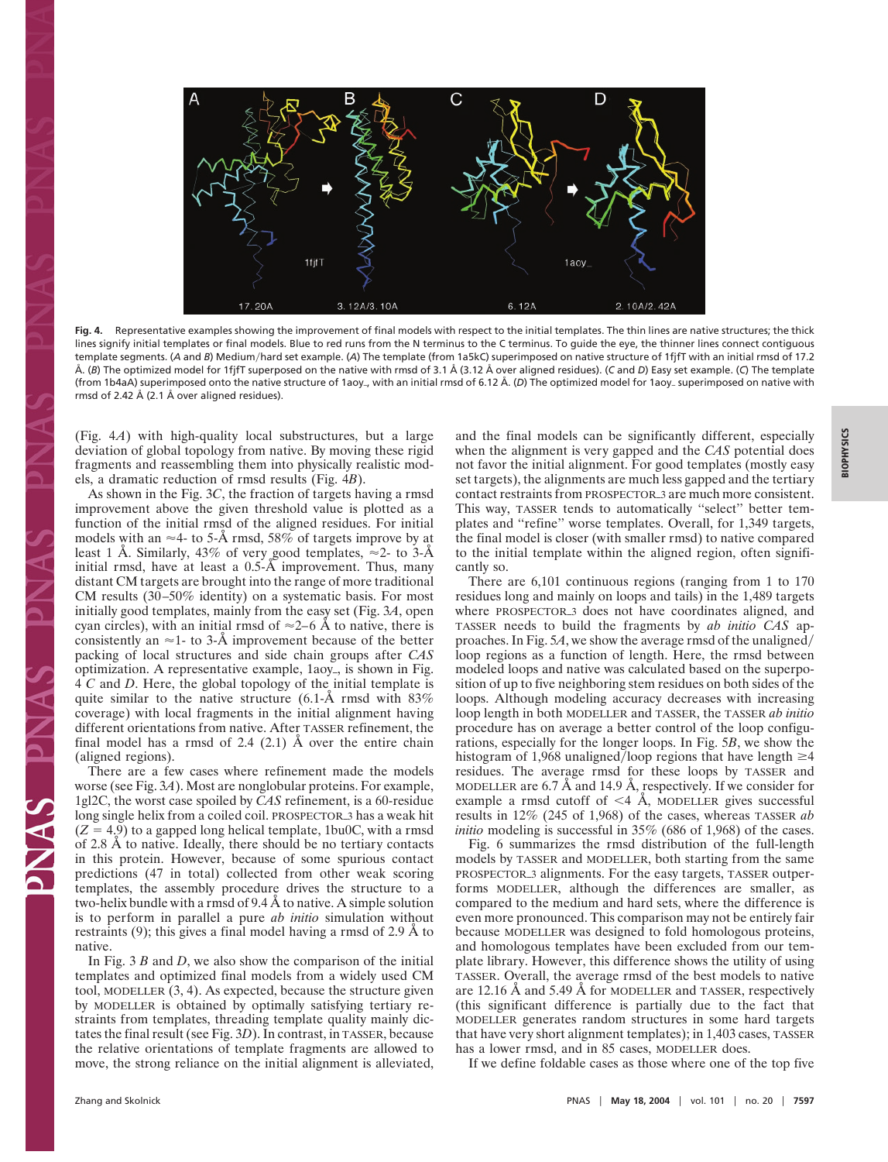

**Fig. 4.** Representative examples showing the improvement of final models with respect to the initial templates. The thin lines are native structures; the thick lines signify initial templates or final models. Blue to red runs from the N terminus to the C terminus. To guide the eye, the thinner lines connect contiguous template segments. (A and B) Medium/hard set example. (A) The template (from 1a5kC) superimposed on native structure of 1fjfT with an initial rmsd of 17.2 Å. (*B*) The optimized model for 1fjfT superposed on the native with rmsd of 3.1 Å (3.12 Å over aligned residues). (*C* and *D*) Easy set example. (*C*) The template (from 1b4aA) superimposed onto the native structure of 1aoy, with an initial rmsd of 6.12 Å. (*D*) The optimized model for 1aoy superimposed on native with rmsd of 2.42 Å (2.1 Å over aligned residues).

(Fig. 4*A*) with high-quality local substructures, but a large deviation of global topology from native. By moving these rigid fragments and reassembling them into physically realistic models, a dramatic reduction of rmsd results (Fig. 4*B*).

As shown in the Fig. 3*C*, the fraction of targets having a rmsd improvement above the given threshold value is plotted as a function of the initial rmsd of the aligned residues. For initial models with an  $\approx$ 4- to 5-Å rmsd, 58% of targets improve by at least 1 Å. Similarly, 43% of very good templates,  $\approx$ 2- to 3-Å initial rmsd, have at least a 0.5-Å improvement. Thus, many distant CM targets are brought into the range of more traditional CM results (30–50% identity) on a systematic basis. For most initially good templates, mainly from the easy set (Fig. 3*A*, open cyan circles), with an initial rmsd of  $\approx$ 2–6 Å to native, there is consistently an  $\approx$ 1- to 3-Å improvement because of the better packing of local structures and side chain groups after *CAS* optimization. A representative example, 1aoy<sub>-</sub>, is shown in Fig. 4 *C* and *D*. Here, the global topology of the initial template is quite similar to the native structure  $(6.1-\text{Å} \text{ rmsd with } 83\%$ coverage) with local fragments in the initial alignment having different orientations from native. After TASSER refinement, the final model has a rmsd of 2.4 (2.1) Å over the entire chain (aligned regions).

There are a few cases where refinement made the models worse (see Fig. 3*A*). Most are nonglobular proteins. For example, 1gl2C, the worst case spoiled by *CAS* refinement, is a 60-residue long single helix from a coiled coil. PROSPECTOR<sub>3</sub> has a weak hit  $(Z = 4.9)$  to a gapped long helical template, 1bu0C, with a rmsd of 2.8 Å to native. Ideally, there should be no tertiary contacts in this protein. However, because of some spurious contact predictions (47 in total) collected from other weak scoring templates, the assembly procedure drives the structure to a two-helix bundle with a rmsd of 9.4 Å to native. A simple solution is to perform in parallel a pure *ab initio* simulation without restraints (9); this gives a final model having a rmsd of 2.9 Å to native.

In Fig. 3 *B* and *D*, we also show the comparison of the initial templates and optimized final models from a widely used CM tool, MODELLER (3, 4). As expected, because the structure given by MODELLER is obtained by optimally satisfying tertiary restraints from templates, threading template quality mainly dictates the final result (see Fig. 3*D*). In contrast, in TASSER, because the relative orientations of template fragments are allowed to move, the strong reliance on the initial alignment is alleviated,

and the final models can be significantly different, especially when the alignment is very gapped and the *CAS* potential does not favor the initial alignment. For good templates (mostly easy set targets), the alignments are much less gapped and the tertiary contact restraints from PROSPECTOR\_3 are much more consistent. This way, TASSER tends to automatically ''select'' better templates and ''refine'' worse templates. Overall, for 1,349 targets, the final model is closer (with smaller rmsd) to native compared to the initial template within the aligned region, often significantly so.

There are 6,101 continuous regions (ranging from 1 to 170 residues long and mainly on loops and tails) in the 1,489 targets where PROSPECTOR<sub>3</sub> does not have coordinates aligned, and TASSER needs to build the fragments by *ab initio CAS* approaches. In Fig. 5*A*, we show the average rmsd of the unaligned loop regions as a function of length. Here, the rmsd between modeled loops and native was calculated based on the superposition of up to five neighboring stem residues on both sides of the loops. Although modeling accuracy decreases with increasing loop length in both MODELLER and TASSER, the TASSER *ab initio* procedure has on average a better control of the loop configurations, especially for the longer loops. In Fig. 5*B*, we show the histogram of 1,968 unaligned/loop regions that have length  $\geq 4$ residues. The average rmsd for these loops by TASSER and MODELLER are 6.7 Å and 14.9 Å, respectively. If we consider for example a rmsd cutoff of  $\leq$ 4 Å, MODELLER gives successful results in 12% (245 of 1,968) of the cases, whereas TASSER *ab initio* modeling is successful in 35% (686 of 1,968) of the cases.

Fig. 6 summarizes the rmsd distribution of the full-length models by TASSER and MODELLER, both starting from the same PROSPECTOR3 alignments. For the easy targets, TASSER outperforms MODELLER, although the differences are smaller, as compared to the medium and hard sets, where the difference is even more pronounced. This comparison may not be entirely fair because MODELLER was designed to fold homologous proteins, and homologous templates have been excluded from our template library. However, this difference shows the utility of using TASSER. Overall, the average rmsd of the best models to native are 12.16 Å and 5.49 Å for MODELLER and TASSER, respectively (this significant difference is partially due to the fact that MODELLER generates random structures in some hard targets that have very short alignment templates); in 1,403 cases, TASSER has a lower rmsd, and in 85 cases, MODELLER does.

If we define foldable cases as those where one of the top five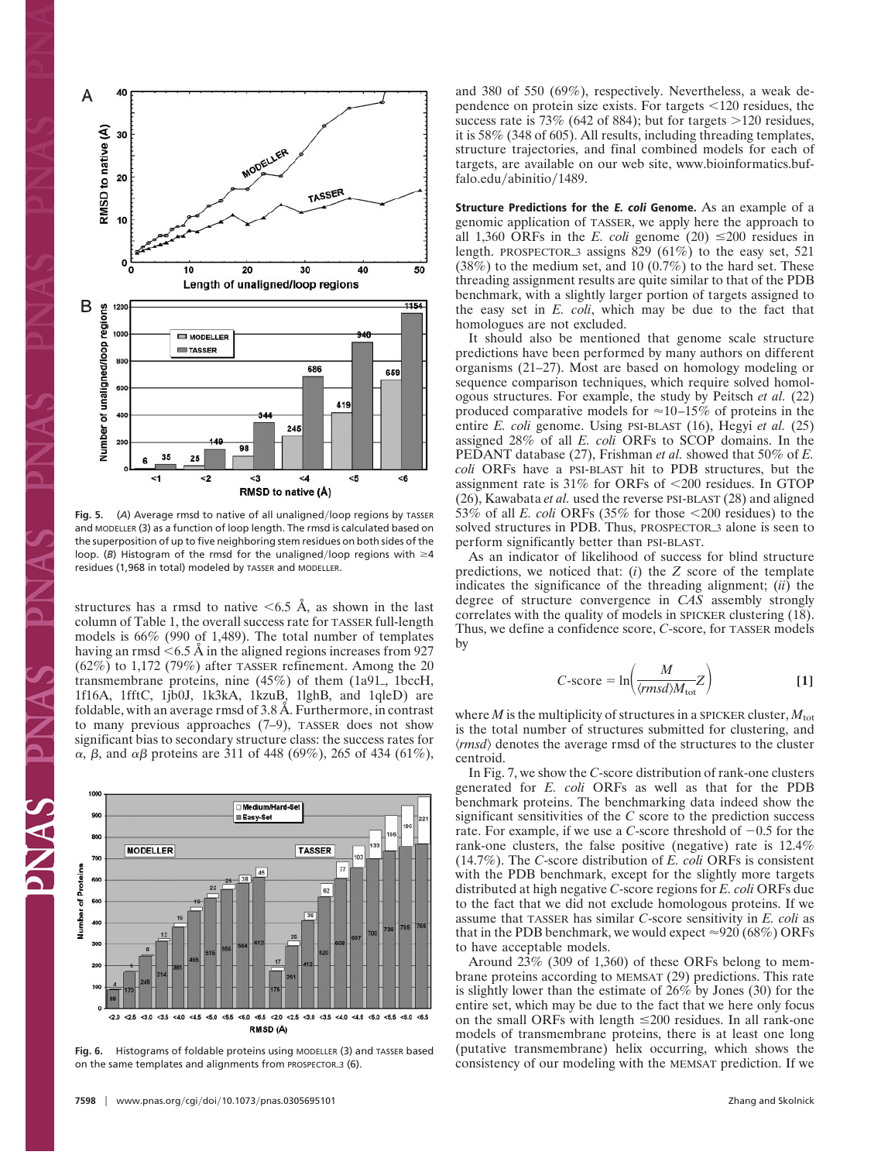

Fig. 5. (A) Average rmsd to native of all unaligned/loop regions by TASSER and MODELLER (3) as a function of loop length. The rmsd is calculated based on the superposition of up to five neighboring stem residues on both sides of the loop. (*B*) Histogram of the rmsd for the unaligned/loop regions with  $\geq 4$ residues (1,968 in total) modeled by TASSER and MODELLER.

structures has a rmsd to native  $\leq 6.5$  Å, as shown in the last column of Table 1, the overall success rate for TASSER full-length models is 66% (990 of 1,489). The total number of templates having an rmsd  $<$  6.5 Å in the aligned regions increases from 927 (62%) to 1,172 (79%) after TASSER refinement. Among the 20 transmembrane proteins, nine  $(45%)$  of them  $(1a91, 1bccH,$ 1f16A, 1fftC, 1jb0J, 1k3kA, 1kzuB, 1lghB, and 1qleD) are foldable, with an average rmsd of 3.8 Å. Furthermore, in contrast to many previous approaches (7–9), TASSER does not show significant bias to secondary structure class: the success rates for α, β, and αβ proteins are 311 of 448 (69%), 265 of 434 (61%),



**Fig. 6.** Histograms of foldable proteins using MODELLER (3) and TASSER based on the same templates and alignments from PROSPECTOR\_3 (6).

and 380 of 550 (69%), respectively. Nevertheless, a weak dependence on protein size exists. For targets <120 residues, the success rate is  $73\%$  (642 of 884); but for targets  $>120$  residues, it is 58% (348 of 605). All results, including threading templates, structure trajectories, and final combined models for each of targets, are available on our web site, www.bioinformatics.buffalo.edu/abinitio/1489.

**Structure Predictions for the E. coli Genome.** As an example of a genomic application of TASSER, we apply here the approach to all 1,360 ORFs in the *E. coli* genome (20)  $\leq$ 200 residues in length. PROSPECTOR<sub>3</sub> assigns 829 (61%) to the easy set, 521  $(38%)$  to the medium set, and 10  $(0.7%)$  to the hard set. These threading assignment results are quite similar to that of the PDB benchmark, with a slightly larger portion of targets assigned to the easy set in *E. coli*, which may be due to the fact that homologues are not excluded.

It should also be mentioned that genome scale structure predictions have been performed by many authors on different organisms (21–27). Most are based on homology modeling or sequence comparison techniques, which require solved homologous structures. For example, the study by Peitsch *et al.* (22) produced comparative models for  $\approx$  10–15% of proteins in the entire *E. coli* genome. Using PSI-BLAST (16), Hegyi *et al.* (25) assigned 28% of all *E. coli* ORFs to SCOP domains. In the PEDANT database (27), Frishman *et al.* showed that 50% of *E. coli* ORFs have a PSI-BLAST hit to PDB structures, but the assignment rate is  $31\%$  for ORFs of  $\leq 200$  residues. In GTOP (26), Kawabata *et al.* used the reverse PSI-BLAST (28) and aligned 53% of all *E. coli* ORFs  $(35\%$  for those  $\leq 200$  residues) to the solved structures in PDB. Thus, PROSPECTOR<sub>3</sub> alone is seen to perform significantly better than PSI-BLAST.

As an indicator of likelihood of success for blind structure predictions, we noticed that: (*i*) the *Z* score of the template indicates the significance of the threading alignment; (*ii*) the degree of structure convergence in *CAS* assembly strongly correlates with the quality of models in SPICKER clustering (18). Thus, we define a confidence score, *C*-score, for TASSER models by

$$
C\text{-score} = \ln\left(\frac{M}{\langle rmsd\rangle M_{\text{tot}}}Z\right)
$$
 [1]

where *M* is the multiplicity of structures in a SPICKER cluster,  $M_{\text{tot}}$ is the total number of structures submitted for clustering, and  $\langle rms d \rangle$  denotes the average rmsd of the structures to the cluster centroid.

In Fig. 7, we show the *C*-score distribution of rank-one clusters generated for *E. coli* ORFs as well as that for the PDB benchmark proteins. The benchmarking data indeed show the significant sensitivities of the *C* score to the prediction success rate. For example, if we use a *C*-score threshold of  $-0.5$  for the rank-one clusters, the false positive (negative) rate is 12.4% (14.7%). The *C*-score distribution of *E. coli* ORFs is consistent with the PDB benchmark, except for the slightly more targets distributed at high negative *C*-score regions for *E. coli* ORFs due to the fact that we did not exclude homologous proteins. If we assume that TASSER has similar *C*-score sensitivity in *E. coli* as that in the PDB benchmark, we would expect  $\approx 920 (68\%)$  ORFs to have acceptable models.

Around 23% (309 of 1,360) of these ORFs belong to membrane proteins according to MEMSAT (29) predictions. This rate is slightly lower than the estimate of 26% by Jones (30) for the entire set, which may be due to the fact that we here only focus on the small ORFs with length  $\leq 200$  residues. In all rank-one models of transmembrane proteins, there is at least one long (putative transmembrane) helix occurring, which shows the consistency of our modeling with the MEMSAT prediction. If we